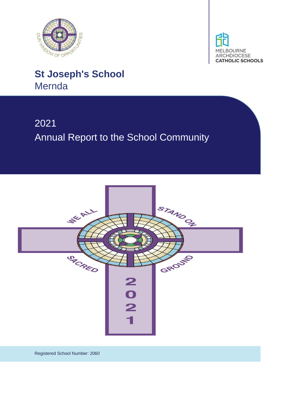



# 2021 Annual Report to the School Community



Registered School Number: 2060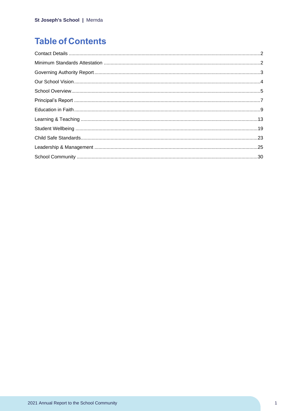## **Table of Contents**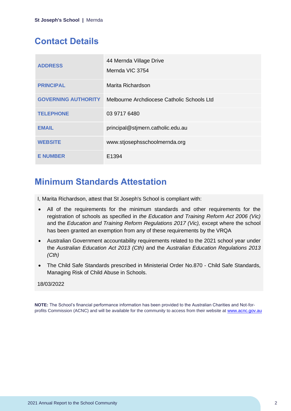## <span id="page-2-0"></span>**Contact Details**

| <b>ADDRESS</b>             | 44 Mernda Village Drive<br>Mernda VIC 3754 |
|----------------------------|--------------------------------------------|
| <b>PRINCIPAL</b>           | Marita Richardson                          |
| <b>GOVERNING AUTHORITY</b> | Melbourne Archdiocese Catholic Schools Ltd |
| <b>TELEPHONE</b>           | 03 9717 6480                               |
| <b>EMAIL</b>               | principal@stjmern.catholic.edu.au          |
| <b>WEBSITE</b>             | www.stjosephsschoolmernda.org              |
| <b>E NUMBER</b>            | E <sub>1394</sub>                          |

## <span id="page-2-1"></span>**Minimum Standards Attestation**

I, Marita Richardson, attest that St Joseph's School is compliant with:

- All of the requirements for the minimum standards and other requirements for the registration of schools as specified in *the Education and Training Reform Act 2006 (Vic)* and the *Education and Training Reform Regulations 2017 (Vic),* except where the school has been granted an exemption from any of these requirements by the VRQA
- Australian Government accountability requirements related to the 2021 school year under the *Australian Education Act 2013 (Cth)* and the *Australian Education Regulations 2013 (Cth)*
- The Child Safe Standards prescribed in Ministerial Order No.870 Child Safe Standards, Managing Risk of Child Abuse in Schools.

### 18/03/2022

**NOTE:** The School's financial performance information has been provided to the Australian Charities and Not-forprofits Commission (ACNC) and will be available for the community to access from their website at [www.acnc.gov.au](http://www.acnc.gov.au/)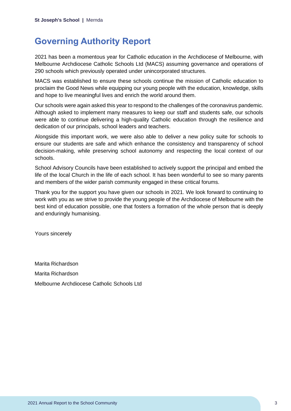## <span id="page-3-0"></span>**Governing Authority Report**

2021 has been a momentous year for Catholic education in the Archdiocese of Melbourne, with Melbourne Archdiocese Catholic Schools Ltd (MACS) assuming governance and operations of 290 schools which previously operated under unincorporated structures.

MACS was established to ensure these schools continue the mission of Catholic education to proclaim the Good News while equipping our young people with the education, knowledge, skills and hope to live meaningful lives and enrich the world around them.

Our schools were again asked this year to respond to the challenges of the coronavirus pandemic. Although asked to implement many measures to keep our staff and students safe, our schools were able to continue delivering a high-quality Catholic education through the resilience and dedication of our principals, school leaders and teachers.

Alongside this important work, we were also able to deliver a new policy suite for schools to ensure our students are safe and which enhance the consistency and transparency of school decision-making, while preserving school autonomy and respecting the local context of our schools.

School Advisory Councils have been established to actively support the principal and embed the life of the local Church in the life of each school. It has been wonderful to see so many parents and members of the wider parish community engaged in these critical forums.

Thank you for the support you have given our schools in 2021. We look forward to continuing to work with you as we strive to provide the young people of the Archdiocese of Melbourne with the best kind of education possible, one that fosters a formation of the whole person that is deeply and enduringly humanising.

Yours sincerely

Marita Richardson Marita Richardson Melbourne Archdiocese Catholic Schools Ltd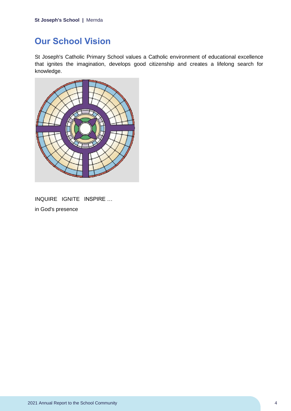## <span id="page-4-0"></span>**Our School Vision**

St Joseph's Catholic Primary School values a Catholic environment of educational excellence that ignites the imagination, develops good citizenship and creates a lifelong search for knowledge.



INQUIRE IGNITE INSPIRE … in God's presence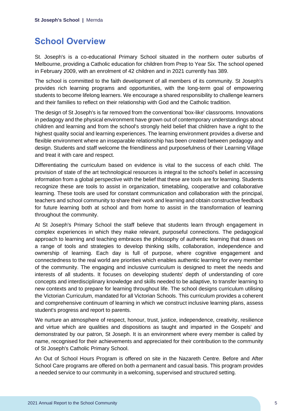## <span id="page-5-0"></span>**School Overview**

St. Joseph's is a co-educational Primary School situated in the northern outer suburbs of Melbourne, providing a Catholic education for children from Prep to Year Six. The school opened in February 2009, with an enrolment of 42 children and in 2021 currently has 389.

The school is committed to the faith development of all members of its community. St Joseph's provides rich learning programs and opportunities, with the long-term goal of empowering students to become lifelong learners. We encourage a shared responsibility to challenge learners and their families to reflect on their relationship with God and the Catholic tradition.

The design of St Joseph's is far removed from the conventional 'box-like' classrooms. Innovations in pedagogy and the physical environment have grown out of contemporary understandings about children and learning and from the school's strongly held belief that children have a right to the highest quality social and learning experiences. The learning environment provides a diverse and flexible environment where an inseparable relationship has been created between pedagogy and design. Students and staff welcome the friendliness and purposefulness of their Learning Village and treat it with care and respect.

Differentiating the curriculum based on evidence is vital to the success of each child. The provision of state of the art technological resources is integral to the school's belief in accessing information from a global perspective with the belief that these are tools are for learning. Students recognize these are tools to assist in organization, timetabling, cooperative and collaborative learning. These tools are used for constant communication and collaboration with the principal, teachers and school community to share their work and learning and obtain constructive feedback for future learning both at school and from home to assist in the transformation of learning throughout the community.

At St Joseph's Primary School the staff believe that students learn through engagement in complex experiences in which they make relevant, purposeful connections. The pedagogical approach to learning and teaching embraces the philosophy of authentic learning that draws on a range of tools and strategies to develop thinking skills, collaboration, independence and ownership of learning. Each day is full of purpose, where cognitive engagement and connectedness to the real world are priorities which enables authentic learning for every member of the community. The engaging and inclusive curriculum is designed to meet the needs and interests of all students. It focuses on developing students' depth of understanding of core concepts and interdisciplinary knowledge and skills needed to be adaptive, to transfer learning to new contexts and to prepare for learning throughout life. The school designs curriculum utilising the Victorian Curriculum, mandated for all Victorian Schools. This curriculum provides a coherent and comprehensive continuum of learning in which we construct inclusive learning plans, assess student's progress and report to parents.

We nurture an atmosphere of respect, honour, trust, justice, independence, creativity, resilience and virtue which are qualities and dispositions as taught and imparted in the Gospels' and demonstrated by our patron, St Joseph. It is an environment where every member is called by name, recognised for their achievements and appreciated for their contribution to the community of St Joseph's Catholic Primary School.

An Out of School Hours Program is offered on site in the Nazareth Centre. Before and After School Care programs are offered on both a permanent and casual basis. This program provides a needed service to our community in a welcoming, supervised and structured setting.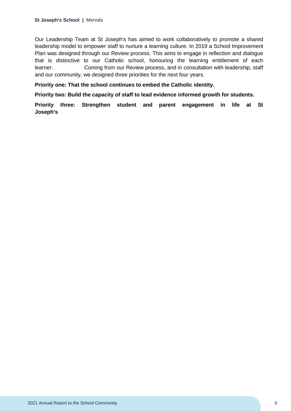Our Leadership Team at St Joseph's has aimed to work collaboratively to promote a shared leadership model to empower staff to nurture a learning culture. In 2019 a School Improvement Plan was designed through our Review process. This aims to engage in reflection and dialogue that is distinctive to our Catholic school, honouring the learning entitlement of each learner. Coming from our Review process, and in consultation with leadership, staff and our community, we designed three priorities for the next four years.

**Priority one: That the school continues to embed the Catholic identity.**

**Priority two: Build the capacity of staff to lead evidence informed growth for students.**

**Priority three: Strengthen student and parent engagement in life at St Joseph's**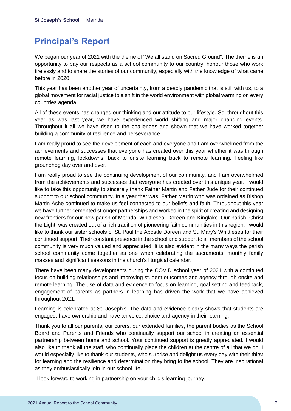## <span id="page-7-0"></span>**Principal's Report**

We began our year of 2021 with the theme of "We all stand on Sacred Ground". The theme is an opportunity to pay our respects as a school community to our country, honour those who work tirelessly and to share the stories of our community, especially with the knowledge of what came before in 2020.

This year has been another year of uncertainty, from a deadly pandemic that is still with us, to a global movement for racial justice to a shift in the world environment with global warming on every countries agenda.

All of these events has changed our thinking and our attitude to our lifestyle. So, throughout this year as was last year, we have experienced world shifting and major changing events. Throughout it all we have risen to the challenges and shown that we have worked together building a community of resilience and perseverance.

I am really proud to see the development of each and everyone and I am overwhelmed from the achievements and successes that everyone has created over this year whether it was through remote learning, lockdowns, back to onsite learning back to remote learning. Feeling like groundhog day over and over.

I am really proud to see the continuing development of our community, and I am overwhelmed from the achievements and successes that everyone has created over this unique year. I would like to take this opportunity to sincerely thank Father Martin and Father Jude for their continued support to our school community. In a year that was, Father Martin who was ordained as Bishop Martin Ashe continued to make us feel connected to our beliefs and faith. Throughout this year we have further cemented stronger partnerships and worked in the spirit of creating and designing new frontiers for our new parish of Mernda, Whittlesea, Doreen and Kinglake. Our parish, Christ the Light, was created out of a rich tradition of pioneering faith communities in this region. I would like to thank our sister schools of St. Paul the Apostle Doreen and St. Mary's Whittlesea for their continued support. Their constant presence in the school and support to all members of the school community is very much valued and appreciated. It is also evident in the many ways the parish school community come together as one when celebrating the sacraments, monthly family masses and significant seasons in the church's liturgical calendar.

There have been many developments during the COVID school year of 2021 with a continued focus on building relationships and improving student outcomes and agency through onsite and remote learning. The use of data and evidence to focus on learning, goal setting and feedback, engagement of parents as partners in learning has driven the work that we have achieved throughout 2021.

Learning is celebrated at St. Joseph's. The data and evidence clearly shows that students are engaged, have ownership and have an voice, choice and agency in their learning.

Thank you to all our parents, our carers, our extended families, the parent bodies as the School Board and Parents and Friends who continually support our school in creating an essential partnership between home and school. Your continued support is greatly appreciated. I would also like to thank all the staff, who continually place the children at the centre of all that we do. I would especially like to thank our students, who surprise and delight us every day with their thirst for learning and the resilience and determination they bring to the school. They are inspirational as they enthusiastically join in our school life.

I look forward to working in partnership on your child's learning journey,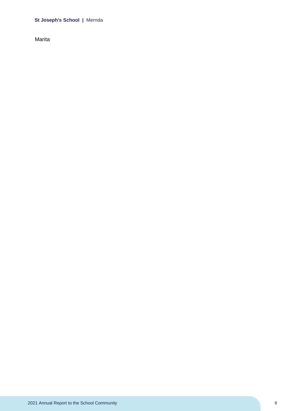Marita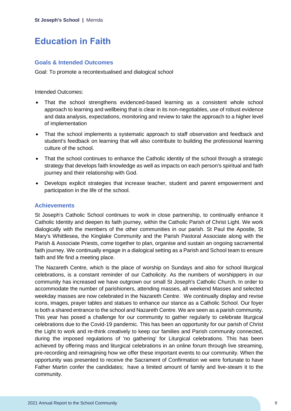## <span id="page-9-0"></span>**Education in Faith**

## **Goals & Intended Outcomes**

Goal: To promote a recontextualised and dialogical school

#### Intended Outcomes:

- That the school strengthens evidenced-based learning as a consistent whole school approach to learning and wellbeing that is clear in its non-negotiables, use of robust evidence and data analysis, expectations, monitoring and review to take the approach to a higher level of implementation
- That the school implements a systematic approach to staff observation and feedback and student's feedback on learning that will also contribute to building the professional learning culture of the school.
- That the school continues to enhance the Catholic identity of the school through a strategic strategy that develops faith knowledge as well as impacts on each person's spiritual and faith journey and their relationship with God.
- Develops explicit strategies that increase teacher, student and parent empowerment and participation in the life of the school.

## **Achievements**

St Joseph's Catholic School continues to work in close partnership, to continually enhance it Catholic Identity and deepen its faith journey, within the Catholic Parish of Christ Light. We work dialogically with the members of the other communities in our parish. St Paul the Apostle, St Mary's Whittlesea, the Kinglake Community and the Parish Pastoral Associate along with the Parish & Associate Priests, come together to plan, organise and sustain an ongoing sacramental faith journey. We continually engage in a dialogical setting as a Parish and School team to ensure faith and life find a meeting place.

The Nazareth Centre, which is the place of worship on Sundays and also for school liturgical celebrations, is a constant reminder of our Catholicity. As the numbers of worshippers in our community has increased we have outgrown our small St Joseph's Catholic Church. In order to accommodate the number of parishioners, attending masses, all weekend Masses and selected weekday masses are now celebrated in the Nazareth Centre. We continually display and revise icons, images, prayer tables and statues to enhance our stance as a Catholic School. Our foyer is both a shared entrance to the school and Nazareth Centre. We are seen as a parish community. This year has posed a challenge for our community to gather regularly to celebrate liturgical celebrations due to the Covid-19 pandemic. This has been an opportunity for our parish of Christ the Light to work and re-think creatively to keep our families and Parish community connected, during the imposed regulations of 'no gathering' for Liturgical celebrations. This has been achieved by offering mass and liturgical celebrations in an online forum through live streaming, pre-recording and reimagining how we offer these important events to our community. When the opportunity was presented to receive the Sacrament of Confirmation we were fortunate to have Father Martin confer the candidates; have a limited amount of family and live-steam it to the community.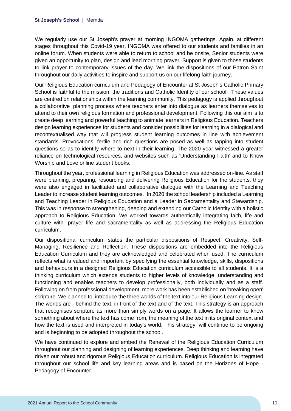We regularly use our St Joseph's prayer at morning INGOMA gatherings. Again, at different stages throughout this Covid-19 year, INGOMA was offered to our students and families in an online forum. When students were able to return to school and be onsite, Senior students were given an opportunity to plan, design and lead morning prayer. Support is given to those students to link prayer to contemporary issues of the day. We link the dispositions of our Patron Saint throughout our daily activities to inspire and support us on our lifelong faith journey.

Our Religious Education curriculum and Pedagogy of Encounter at St Joseph's Catholic Primary School is faithful to the mission, the traditions and Catholic Identity of our school. These values are centred on relationships within the learning community. This pedagogy is applied throughout a collaborative planning process where teachers enter into dialogue as learners themselves to attend to their own religious formation and professional development. Following this our aim is to create deep learning and powerful teaching to animate learners in Religious Education. Teachers design learning experiences for students and consider possibilities for learning in a dialogical and recontextualised way that will progress student learning outcomes in line with achievement standards. Provocations, fertile and rich questions are posed as well as tapping into student questions so as to identify where to next in their learning. The 2020 year witnessed a greater reliance on technological resources, and websites such as 'Understanding Faith' and to Know Worship and Love online student books.

Throughout the year, professional learning in Religious Education was addressed on-line. As staff were planning, preparing, resourcing and delivering Religious Education for the students, they were also engaged in facilitated and collaborative dialogue with the Learning and Teaching Leader to increase student learning outcomes. In 2020 the school leadership included a Learning and Teaching Leader in Religious Education and a Leader in Sacramentality and Stewardship. This was in response to strengthening, deeping and extending our Catholic Identity with a holistic approach to Religious Education. We worked towards authentically integrating faith, life and culture with prayer life and sacramentality as well as addressing the Religious Education curriculum.

Our dispositional curriculum states the particular dispositions of Respect, Creativity, Self-Managing, Resilience and Reflection. These dispositions are embedded into the Religious Education Curriculum and they are acknowledged and celebrated when used. The curriculum reflects what is valued and important by specifying the essential knowledge, skills, dispositions and behaviours in a designed Religious Education curriculum accessible to all students. It is a thinking curriculum which extends students to higher levels of knowledge, understanding and functioning and enables teachers to develop professionally, both individually and as a staff. Following on from professional development, more work has been established on 'breaking open' scripture. We planned to introduce the three worlds of the text into our Religious Learning design. The worlds are - behind the text, in front of the text and of the text. This strategy is an approach that recognises scripture as more than simply words on a page. It allows the learner to know something about where the text has come from, the meaning of the text in its original context and how the text is used and interpreted in today's world. This strategy will continue to be ongoing and is beginning to be adopted throughout the school.

We have continued to explore and embed the Renewal of the Religious Education Curriculum throughout our planning and designing of learning experiences. Deep thinking and learning have driven our robust and rigorous Religious Education curriculum. Religious Education is integrated throughout our school life and key learning areas and is based on the Horizons of Hope - Pedagogy of Encounter.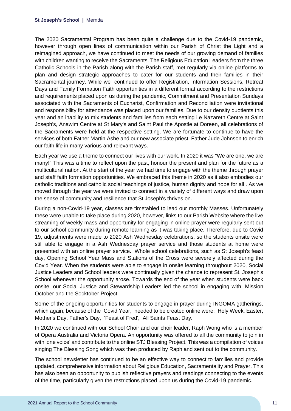The 2020 Sacramental Program has been quite a challenge due to the Covid-19 pandemic, however through open lines of communication within our Parish of Christ the Light and a reimagined approach, we have continued to meet the needs of our growing demand of families with children wanting to receive the Sacraments. The Religious Education Leaders from the three Catholic Schools in the Parish along with the Parish staff, met regularly via online platforms to plan and design strategic approaches to cater for our students and their families in their Sacramental journey. While we continued to offer Registration, Information Sessions, Retreat Days and Family Formation Faith opportunities in a different format according to the restrictions and requirements placed upon us during the pandemic, Commitment and Presentation Sundays associated with the Sacraments of Eucharist, Confirmation and Reconciliation were invitational and responsibility for attendance was placed upon our families. Due to our density quotients this year and an inability to mix students and families from each setting i.e Nazareth Centre at Saint Joseph's, Anawim Centre at St Mary's and Saint Paul the Apostle at Doreen, all celebrations of the Sacraments were held at the respective setting. We are fortunate to continue to have the services of both Father Martin Ashe and our new associate priest, Father Jude Johnson to enrich our faith life in many various and relevant ways.

Each year we use a theme to connect our lives with our work. In 2020 it was "We are one, we are many!" This was a time to reflect upon the past, honour the present and plan for the future as a multicultural nation. At the start of the year we had time to engage with the theme through prayer and staff faith formation opportunities. We embraced this theme in 2020 as it also embodies our catholic traditions and catholic social teachings of justice, human dignity and hope for all . As we moved through the year we were invited to connect in a variety of different ways and draw upon the sense of community and resilience that St Joseph's thrives on.

During a non-Covid-19 year, classes are timetabled to lead our monthly Masses. Unfortunately these were unable to take place during 2020, however, links to our Parish Website where the live streaming of weekly mass and opportunity for engaging in online prayer were regularly sent out to our school community during remote learning as it was taking place. Therefore, due to Covid 19, adjustments were made to 2020 Ash Wednesday celebrations, so the students onsite were still able to engage in a Ash Wednesday prayer service and those students at home were presented with an online prayer service. Whole school celebrations, such as St Joseph's feast day, Opening School Year Mass and Stations of the Cross were severely affected during the Covid Year. When the students were able to engage in onsite learning throughout 2020, Social Justice Leaders and School leaders were continually given the chance to represent St. Joseph's School whenever the opportunity arose. Towards the end of the year when students were back onsite, our Social Justice and Stewardship Leaders led the school in engaging with Mission October and the Socktober Project.

Some of the ongoing opportunities for students to engage in prayer during INGOMA gatherings, which again, because of the Covid Year, needed to be created online were; Holy Week, Easter, Mother's Day, Father's Day, 'Feast of Fred', All Saints Feast Day.

In 2020 we continued with our School Choir and our choir leader, Raph Wong who is a member of Opera Australia and Victoria Opera. An opportunity was offered to all the community to join in with 'one voice' and contribute to the online STJ Blessing Project. This was a compilation of voices singing The Blessing Song which was then produced by Raph and sent out to the community.

The school newsletter has continued to be an effective way to connect to families and provide updated, comprehensive information about Religious Education, Sacramentality and Prayer. This has also been an opportunity to publish reflective prayers and readings connecting to the events of the time, particularly given the restrictions placed upon us during the Covid-19 pandemic.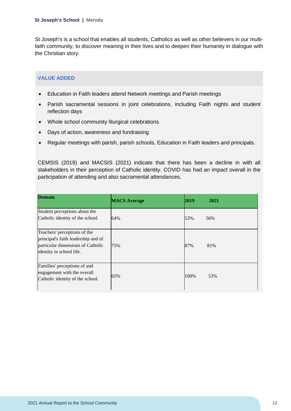St Joseph's is a school that enables all students, Catholics as well as other believers in our multifaith community, to discover meaning in their lives and to deepen their humanity in dialogue with the Christian story.

## **VALUE ADDED**

- Education in Faith leaders attend Network meetings and Parish meetings
- Parish sacramental sessions in joint celebrations, including Faith nights and student reflection days
- Whole school community liturgical celebrations
- Days of action, awareness and fundraising
- Regular meetings with parish, parish schools, Education in Faith leaders and principals.

CEMSIS (2019) and MACSIS (2021) indicate that there has been a decline in with all stakeholders in their perception of Catholic identity. COVID has had an impact overall in the participation of attending and also sacramental attendances.

| <b>Domain</b>                                                                                                                        | <b>MACS</b> Average | 2019 | 2021 |
|--------------------------------------------------------------------------------------------------------------------------------------|---------------------|------|------|
| Student perceptions about the<br>Catholic identity of the school.                                                                    | 64%                 | 53%. | 56%  |
| Teachers' perceptions of the<br>principal's faith leadership and of<br>particular dimensions of Catholic<br>identity in school life. | 75%                 | 87%  | 81%  |
| Families' perceptions of and<br>engagement with the overall<br>Catholic identity of the school.                                      | 65%                 | 100% | 53%  |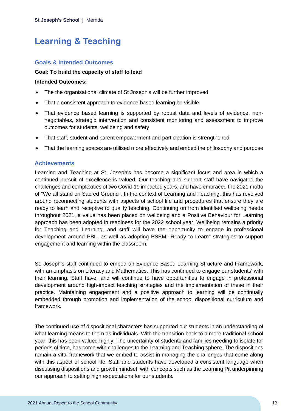## <span id="page-13-0"></span>**Learning & Teaching**

## **Goals & Intended Outcomes**

#### **Goal: To build the capacity of staff to lead**

#### **Intended Outcomes:**

- The the organisational climate of St Joseph's will be further improved
- That a consistent approach to evidence based learning be visible
- That evidence based learning is supported by robust data and levels of evidence, nonnegotiables, strategic intervention and consistent monitoring and assessment to improve outcomes for students, wellbeing and safety
- That staff, student and parent empowerment and participation is strengthened
- That the learning spaces are utilised more effectively and embed the philosophy and purpose

### **Achievements**

Learning and Teaching at St. Joseph's has become a significant focus and area in which a continued pursuit of excellence is valued. Our teaching and support staff have navigated the challenges and complexities of two Covid-19 impacted years, and have embraced the 2021 motto of "We all stand on Sacred Ground". In the context of Learning and Teaching, this has revolved around reconnecting students with aspects of school life and procedures that ensure they are ready to learn and receptive to quality teaching. Continuing on from identified wellbeing needs throughout 2021, a value has been placed on wellbeing and a Positive Behaviour for Learning approach has been adopted in readiness for the 2022 school year. Wellbeing remains a priority for Teaching and Learning, and staff will have the opportunity to engage in professional development around PBL, as well as adopting BSEM "Ready to Learn" strategies to support engagement and learning within the classroom.

St. Joseph's staff continued to embed an Evidence Based Learning Structure and Framework, with an emphasis on Literacy and Mathematics. This has continued to engage our students' with their learning. Staff have, and will continue to have opportunities to engage in professional development around high-impact teaching strategies and the implementation of these in their practice. Maintaining engagement and a positive approach to learning will be continually embedded through promotion and implementation of the school dispositional curriculum and framework.

The continued use of dispositional characters has supported our students in an understanding of what learning means to them as individuals. With the transition back to a more traditional school year, this has been valued highly. The uncertainty of students and families needing to isolate for periods of time, has come with challenges to the Learning and Teaching sphere. The dispositions remain a vital framework that we embed to assist in managing the challenges that come along with this aspect of school life. Staff and students have developed a consistent language when discussing dispositions and growth mindset, with concepts such as the Learning Pit underpinning our approach to setting high expectations for our students.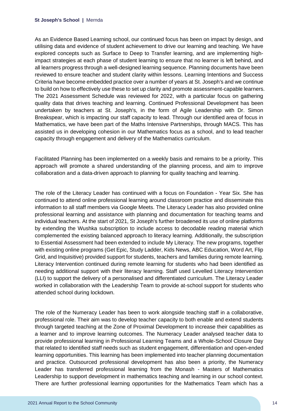As an Evidence Based Learning school, our continued focus has been on impact by design, and utilising data and evidence of student achievement to drive our learning and teaching. We have explored concepts such as Surface to Deep to Transfer learning, and are implementing highimpact strategies at each phase of student learning to ensure that no learner is left behind, and all learners progress through a well-designed learning sequence. Planning documents have been reviewed to ensure teacher and student clarity within lessons. Learning Intentions and Success Criteria have become embedded practice over a number of years at St. Joseph's and we continue to build on how to effectively use these to set up clarity and promote assessment-capable learners. The 2021 Assessment Schedule was reviewed for 2022, with a particular focus on gathering quality data that drives teaching and learning. Continued Professional Development has been undertaken by teachers at St. Joseph's, in the form of Agile Leadership with Dr. Simon Breakspear, which is impacting our staff capacity to lead. Through our identified area of focus in Mathematics, we have been part of the Maths Intensive Partnerships, through MACS. This has assisted us in developing cohesion in our Mathematics focus as a school, and to lead teacher capacity through engagement and delivery of the Mathematics curriculum.

Facilitated Planning has been implemented on a weekly basis and remains to be a priority. This approach will promote a shared understanding of the planning process, and aim to improve collaboration and a data-driven approach to planning for quality teaching and learning.

The role of the Literacy Leader has continued with a focus on Foundation - Year Six. She has continued to attend online professional learning around classroom practice and disseminate this information to all staff members via Google Meets. The Literacy Leader has also provided online professional learning and assistance with planning and documentation for teaching teams and individual teachers. At the start of 2021, St Joseph's further broadened its use of online platforms by extending the Wushka subscription to include access to decodable reading material which complemented the existing balanced approach to literacy learning. Additionally, the subscription to Essential Assessment had been extended to include My Literacy. The new programs, together with existing online programs (Get Epic, Study Ladder, Kids News, ABC Education, Word Art, Flip Grid, and Inquisitive) provided support for students, teachers and families during remote learning. Literacy Intervention continued during remote learning for students who had been identified as needing additional support with their literacy learning. Staff used Levelled Literacy Intervention (LLI) to support the delivery of a personalised and differentiated curriculum. The Literacy Leader worked in collaboration with the Leadership Team to provide at-school support for students who attended school during lockdown.

The role of the Numeracy Leader has been to work alongside teaching staff in a collaborative, professional role. Their aim was to develop teacher capacity to both enable and extend students through targeted teaching at the Zone of Proximal Development to increase their capabilities as a learner and to improve learning outcomes. The Numeracy Leader analysed teacher data to provide professional learning in Professional Learning Teams and a Whole-School Closure Day that related to identified staff needs such as student engagement, differentiation and open-ended learning opportunities. This learning has been implemented into teacher planning documentation and practice. Outsourced professional development has also been a priority, the Numeracy Leader has transferred professional learning from the Monash - Masters of Mathematics Leadership to support development in mathematics teaching and learning in our school context. There are further professional learning opportunities for the Mathematics Team which has a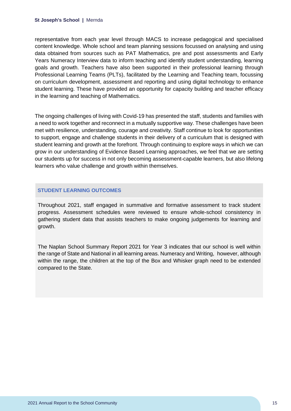representative from each year level through MACS to increase pedagogical and specialised content knowledge. Whole school and team planning sessions focussed on analysing and using data obtained from sources such as PAT Mathematics, pre and post assessments and Early Years Numeracy Interview data to inform teaching and identify student understanding, learning goals and growth. Teachers have also been supported in their professional learning through Professional Learning Teams (PLTs), facilitated by the Learning and Teaching team, focussing on curriculum development, assessment and reporting and using digital technology to enhance student learning. These have provided an opportunity for capacity building and teacher efficacy in the learning and teaching of Mathematics.

The ongoing challenges of living with Covid-19 has presented the staff, students and families with a need to work together and reconnect in a mutually supportive way. These challenges have been met with resilience, understanding, courage and creativity. Staff continue to look for opportunities to support, engage and challenge students in their delivery of a curriculum that is designed with student learning and growth at the forefront. Through continuing to explore ways in which we can grow in our understanding of Evidence Based Learning approaches, we feel that we are setting our students up for success in not only becoming assessment-capable learners, but also lifelong learners who value challenge and growth within themselves.

### **STUDENT LEARNING OUTCOMES**

Throughout 2021, staff engaged in summative and formative assessment to track student progress. Assessment schedules were reviewed to ensure whole-school consistency in gathering student data that assists teachers to make ongoing judgements for learning and growth.

The Naplan School Summary Report 2021 for Year 3 indicates that our school is well within the range of State and National in all learning areas. Numeracy and Writing, however, although within the range, the children at the top of the Box and Whisker graph need to be extended compared to the State.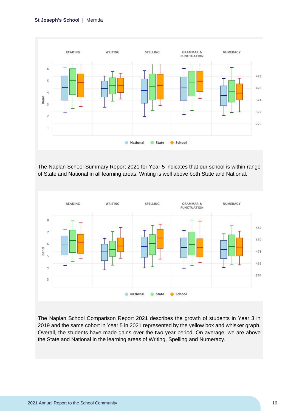

The Naplan School Summary Report 2021 for Year 5 indicates that our school is within range of State and National in all learning areas. Writing is well above both State and National.



The Naplan School Comparison Report 2021 describes the growth of students in Year 3 in 2019 and the same cohort in Year 5 in 2021 represented by the yellow box and whisker graph. Overall, the students have made gains over the two-year period. On average, we are above the State and National in the learning areas of Writing, Spelling and Numeracy.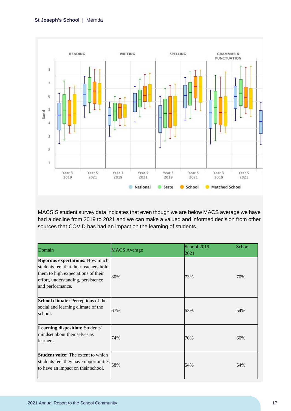

MACSIS student survey data indicates that even though we are below MACS average we have had a decline from 2019 to 2021 and we can make a valued and informed decision from other sources that COVID has had an impact on the learning of students.

| Domain                                                                                                                                                                           | <b>MACS</b> Average | School 2019<br>2021 | School |
|----------------------------------------------------------------------------------------------------------------------------------------------------------------------------------|---------------------|---------------------|--------|
| <b>Rigorous expectations:</b> How much<br>students feel that their teachers hold<br>them to high expectations of their<br>effort, understanding, persistence<br>and performance. | 80%                 | 73%                 | 70%    |
| <b>School climate:</b> Perceptions of the<br>social and learning climate of the<br>school.                                                                                       | 67%                 | 63%                 | 54%    |
| Learning disposition: Students'<br>mindset about themselves as<br>learners.                                                                                                      | 74%                 | 70%                 | 60%    |
| <b>Student voice:</b> The extent to which<br>students feel they have opportunities<br>to have an impact on their school.                                                         | 58%                 | 54%                 | 54%    |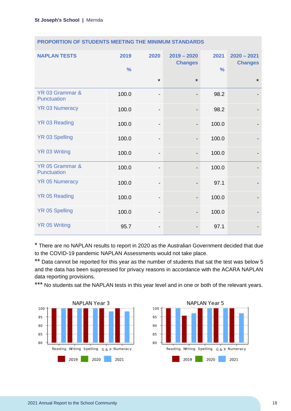| <b>NAPLAN TESTS</b>            | 2019<br>$\frac{0}{0}$ | 2020                         | $2019 - 2020$<br><b>Changes</b> | 2021<br>$\frac{0}{0}$ | $2020 - 2021$<br><b>Changes</b> |
|--------------------------------|-----------------------|------------------------------|---------------------------------|-----------------------|---------------------------------|
|                                |                       | $\star$                      | $\star$                         |                       | $\star$                         |
| YR 03 Grammar &<br>Punctuation | 100.0                 | -                            |                                 | 98.2                  |                                 |
| <b>YR 03 Numeracy</b>          | 100.0                 | $\overline{\phantom{0}}$     |                                 | 98.2                  |                                 |
| <b>YR 03 Reading</b>           | 100.0                 | $\qquad \qquad \blacksquare$ |                                 | 100.0                 |                                 |
| <b>YR 03 Spelling</b>          | 100.0                 | $\qquad \qquad \blacksquare$ | $\overline{\phantom{a}}$        | 100.0                 |                                 |
| <b>YR 03 Writing</b>           | 100.0                 | -                            |                                 | 100.0                 |                                 |
| YR 05 Grammar &<br>Punctuation | 100.0                 | -                            |                                 | 100.0                 |                                 |
| <b>YR 05 Numeracy</b>          | 100.0                 | -                            |                                 | 97.1                  |                                 |
| <b>YR 05 Reading</b>           | 100.0                 | -                            |                                 | 100.0                 |                                 |
| <b>YR 05 Spelling</b>          | 100.0                 | -                            |                                 | 100.0                 |                                 |
| <b>YR 05 Writing</b>           | 95.7                  | -                            |                                 | 97.1                  |                                 |

### **PROPORTION OF STUDENTS MEETING THE MINIMUM STANDARDS**

\* There are no NAPLAN results to report in 2020 as the Australian Government decided that due to the COVID-19 pandemic NAPLAN Assessments would not take place.

\*\* Data cannot be reported for this year as the number of students that sat the test was below 5 and the data has been suppressed for privacy reasons in accordance with the ACARA NAPLAN data reporting provisions.

\*\*\* No students sat the NAPLAN tests in this year level and in one or both of the relevant years.



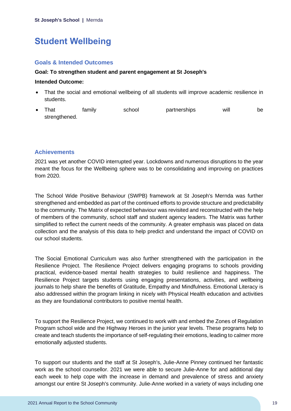## <span id="page-19-0"></span>**Student Wellbeing**

## **Goals & Intended Outcomes**

### **Goal: To strengthen student and parent engagement at St Joseph's**

#### **Intended Outcome:**

- That the social and emotional wellbeing of all students will improve academic resilience in students.
- That family school partnerships will be strengthened.

## **Achievements**

2021 was yet another COVID interrupted year. Lockdowns and numerous disruptions to the year meant the focus for the Wellbeing sphere was to be consolidating and improving on practices from 2020.

The School Wide Positive Behaviour (SWPB) framework at St Joseph's Mernda was further strengthened and embedded as part of the continued efforts to provide structure and predictability to the community. The Matrix of expected behaviour was revisited and reconstructed with the help of members of the community, school staff and student agency leaders. The Matrix was further simplified to reflect the current needs of the community. A greater emphasis was placed on data collection and the analysis of this data to help predict and understand the impact of COVID on our school students.

The Social Emotional Curriculum was also further strengthened with the participation in the Resilience Project. The Resilience Project delivers engaging programs to schools providing practical, evidence-based mental health strategies to build resilience and happiness. The Resilience Project targets students using engaging presentations, activities, and wellbeing journals to help share the benefits of Gratitude, Empathy and Mindfulness. Emotional Literacy is also addressed within the program linking in nicely with Physical Health education and activities as they are foundational contributors to positive mental health.

To support the Resilience Project, we continued to work with and embed the Zones of Regulation Program school wide and the Highway Heroes in the junior year levels. These programs help to create and teach students the importance of self-regulating their emotions, leading to calmer more emotionally adjusted students.

To support our students and the staff at St Joseph's, Julie-Anne Pinney continued her fantastic work as the school counsellor. 2021 we were able to secure Julie-Anne for and additional day each week to help cope with the increase in demand and prevalence of stress and anxiety amongst our entire St Joseph's community. Julie-Anne worked in a variety of ways including one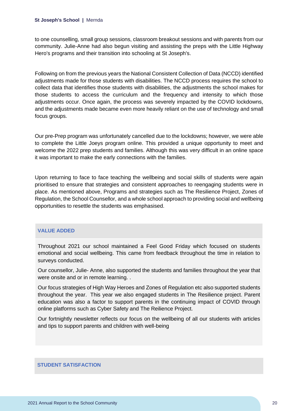to one counselling, small group sessions, classroom breakout sessions and with parents from our community. Julie-Anne had also begun visiting and assisting the preps with the Little Highway Hero's programs and their transition into schooling at St Joseph's.

Following on from the previous years the National Consistent Collection of Data (NCCD) identified adjustments made for those students with disabilities. The NCCD process requires the school to collect data that identifies those students with disabilities, the adjustments the school makes for those students to access the curriculum and the frequency and intensity to which those adjustments occur. Once again, the process was severely impacted by the COVID lockdowns, and the adjustments made became even more heavily reliant on the use of technology and small focus groups.

Our pre-Prep program was unfortunately cancelled due to the lockdowns; however, we were able to complete the Little Joeys program online. This provided a unique opportunity to meet and welcome the 2022 prep students and families. Although this was very difficult in an online space it was important to make the early connections with the families.

Upon returning to face to face teaching the wellbeing and social skills of students were again prioritised to ensure that strategies and consistent approaches to reengaging students were in place. As mentioned above, Programs and strategies such as The Resilience Project, Zones of Regulation, the School Counsellor, and a whole school approach to providing social and wellbeing opportunities to resettle the students was emphasised.

### **VALUE ADDED**

Throughout 2021 our school maintained a Feel Good Friday which focused on students emotional and social wellbeing. This came from feedback throughout the time in relation to surveys conducted.

Our counsellor, Julie- Anne, also supported the students and families throughout the year that were onsite and or in remote learning. .

Our focus strategies of High Way Heroes and Zones of Regulation etc also supported students throughout the year. This year we also engaged students in The Resilience project. Parent education was also a factor to support parents in the continuing impact of COVID through online platforms such as Cyber Safety and The Reilience Project.

Our fortnightly newsletter reflects our focus on the wellbeing of all our students with articles and tips to support parents and children with well-being

#### **STUDENT SATISFACTION**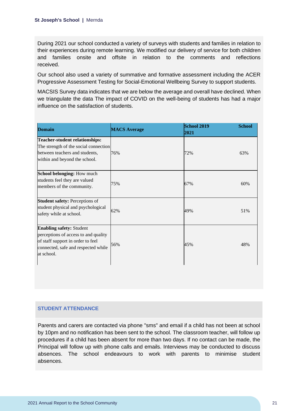During 2021 our school conducted a variety of surveys with students and families in relation to their experiences during remote learning. We modified our delivery of service for both children and families onsite and offsite in relation to the comments and reflections received.

Our school also used a variety of summative and formative assessment including the ACER Progressive Assessment Testing for Social-Emotional Wellbeing Survey to support students.

MACSIS Survey data indicates that we are below the average and overall have declined. When we triangulate the data The impact of COVID on the well-being of students has had a major influence on the satisfaction of students.

| <b>Domain</b>                                                                                                                                                     | <b>MACS Average</b> | <b>School 2019</b><br>2021 | <b>School</b> |
|-------------------------------------------------------------------------------------------------------------------------------------------------------------------|---------------------|----------------------------|---------------|
| <b>Teacher-student relationships:</b><br>The strength of the social connection<br>between teachers and students,<br>within and beyond the school.                 | 76%                 | 72%                        | 63%           |
| School belonging: How much<br>students feel they are valued<br>members of the community.                                                                          | 75%                 | 67%                        | 60%           |
| <b>Student safety: Perceptions of</b><br>student physical and psychological<br>safety while at school.                                                            | 62%                 | 49%                        | 51%           |
| <b>Enabling safety: Student</b><br>perceptions of access to and quality<br>of staff support in order to feel<br>connected, safe and respected while<br>at school. | 56%                 | 45%                        | 48%           |

### **STUDENT ATTENDANCE**

Parents and carers are contacted via phone "sms" and email if a child has not been at school by 10pm and no notification has been sent to the school. The classroom teacher, will follow up procedures if a child has been absent for more than two days. If no contact can be made, the Principal will follow up with phone calls and emails. Interviews may be conducted to discuss absences. The school endeavours to work with parents to minimise student absences.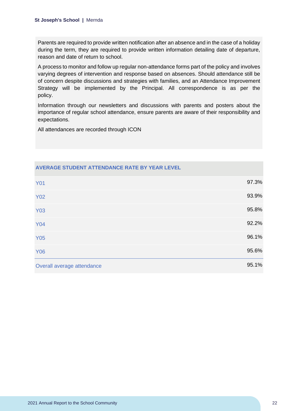Parents are required to provide written notification after an absence and in the case of a holiday during the term, they are required to provide written information detailing date of departure, reason and date of return to school.

A process to monitor and follow up regular non-attendance forms part of the policy and involves varying degrees of intervention and response based on absences. Should attendance still be of concern despite discussions and strategies with families, and an Attendance Improvement Strategy will be implemented by the Principal. All correspondence is as per the policy.

Information through our newsletters and discussions with parents and posters about the importance of regular school attendance, ensure parents are aware of their responsibility and expectations.

All attendances are recorded through ICON

| <b>Y01</b>                 | 97.3% |
|----------------------------|-------|
| <b>Y02</b>                 | 93.9% |
| <b>Y03</b>                 | 95.8% |
| <b>Y04</b>                 | 92.2% |
| <b>Y05</b>                 | 96.1% |
| <b>Y06</b>                 | 95.6% |
| Overall average attendance | 95.1% |

## **AVERAGE STUDENT ATTENDANCE RATE BY YEAR LEVEL**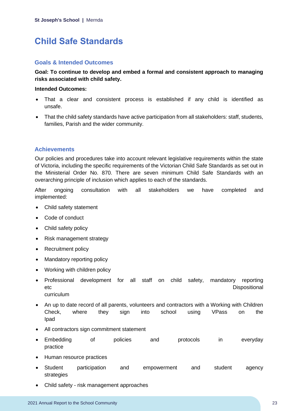## <span id="page-23-0"></span>**Child Safe Standards**

## **Goals & Intended Outcomes**

**Goal: To continue to develop and embed a formal and consistent approach to managing risks associated with child safety.** 

#### **Intended Outcomes:**

- That a clear and consistent process is established if any child is identified as unsafe.
- That the child safety standards have active participation from all stakeholders: staff, students, families, Parish and the wider community.

## **Achievements**

Our policies and procedures take into account relevant legislative requirements within the state of Victoria, including the specific requirements of the Victorian Child Safe Standards as set out in the Ministerial Order No. 870. There are seven minimum Child Safe Standards with an overarching principle of inclusion which applies to each of the standards.

After ongoing consultation with all stakeholders we have completed and implemented:

- Child safety statement
- Code of conduct
- Child safety policy
- Risk management strategy
- Recruitment policy
- Mandatory reporting policy
- Working with children policy
- Professional development for all staff on child safety, mandatory reporting etc **between the contract of the contract of the contract of the contract of the contract of the contract of the contract of the contract of the contract of the contract of the contract of the contract of the contract of t** curriculum
- An up to date record of all parents, volunteers and contractors with a Working with Children Check, where they sign into school using VPass on the Ipad
- All contractors sign commitment statement
- Embedding of policies and protocols in everyday practice
- Human resource practices
- Student participation and empowerment and student agency strategies
- Child safety risk management approaches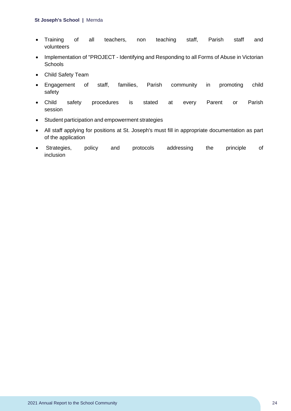- Training of all teachers, non teaching staff, Parish staff and volunteers
- Implementation of "PROJECT Identifying and Responding to all Forms of Abuse in Victorian **Schools**
- Child Safety Team
- Engagement of staff, families, Parish community in promoting child safety
- Child safety procedures is stated at every Parent or Parish session
- Student participation and empowerment strategies
- All staff applying for positions at St. Joseph's must fill in appropriate documentation as part of the application
- Strategies, policy and protocols addressing the principle of inclusion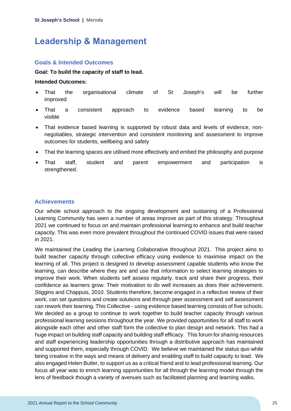## <span id="page-25-0"></span>**Leadership & Management**

## **Goals & Intended Outcomes**

### **Goal: To build the capacity of staff to lead.**

#### **Intended Outcomes:**

- That the organisational climate of St Joseph's will be further improved
- That a consistent approach to evidence based learning to be visible
- That evidence based learning is supported by robust data and levels of evidence, nonnegotiables, strategic intervention and consistent monitoring and assessment to improve outcomes for students, wellbeing and safety
- That the learning spaces are utilised more effectively and embed the philosophy and purpose
- That staff, student and parent empowerment and participation is strengthened.

## **Achievements**

Our whole school approach to the ongoing development and sustaining of a Professional Learning Community has seen a number of areas improve as part of this strategy. Throughout 2021 we continued to focus on and maintain professional learning to enhance and build teacher capacity. This was even more prevalent throughout the continued COVID issues that were raised in 2021.

We maintained the Leading the Learning Collaborative throughout 2021. This project aims to build teacher capacity through collective efficacy using evidence to maximise impact on the learning of all. This project is designed to develop assessment capable students who know the learning, can describe where they are and use that information to select learning strategies to improve their work. When students self assess regularly, track and share their progress, their confidence as learners grow. Their motivation to do well increases as does their achievement. Stiggins and Chappuis, 2010. Students therefore, become engaged in a reflective review of their work, can set questions and create solutions and through peer assessment and self assessment can rework their learning. This Collective - using evidence based learning consists of five schools. We decided as a group to continue to work together to build teacher capacity through various professional learning sessions throughout the year. We provided opportunities for all staff to work alongside each other and other staff form the collective to plan design and network. This had a huge impact on building staff capacity and building staff efficacy. This forum for sharing resources and staff experiencing leadership opportunities through a distributive approach has maintained and supported them, especially through COVID. We believe we maintained the status quo while being creative in the ways and means of delivery and enabling staff to build capacity to lead. We also engaged Helen Butler, to support us as a critical friend and to lead professional learning. Our focus all year was to enrich learning opportunities for all through the learning model through the lens of feedback though a variety of avenues such as facilitated planning and learning walks.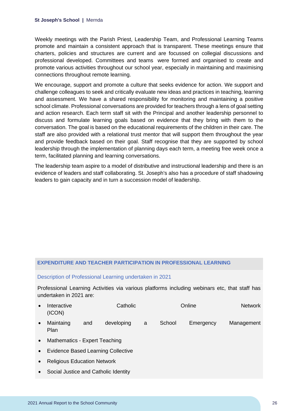Weekly meetings with the Parish Priest, Leadership Team, and Professional Learning Teams promote and maintain a consistent approach that is transparent. These meetings ensure that charters, policies and structures are current and are focussed on collegial discussions and professional developed. Committees and teams were formed and organised to create and promote various activities throughout our school year, especially in maintaining and maximising connections throughout remote learning.

We encourage, support and promote a culture that seeks evidence for action. We support and challenge colleagues to seek and critically evaluate new ideas and practices in teaching, learning and assessment. We have a shared responsibility for monitoring and maintaining a positive school climate. Professional conversations are provided for teachers through a lens of goal setting and action research. Each term staff sit with the Principal and another leadership personnel to discuss and formulate learning goals based on evidence that they bring with them to the conversation. The goal is based on the educational requirements of the children in their care. The staff are also provided with a relational trust mentor that will support them throughout the year and provide feedback based on their goal. Staff recognise that they are supported by school leadership through the implementation of planning days each term, a meeting free week once a term, facilitated planning and learning conversations.

The leadership team aspire to a model of distributive and instructional leadership and there is an evidence of leaders and staff collaborating. St. Joseph's also has a procedure of staff shadowing leaders to gain capacity and in turn a succession model of leadership.

#### **EXPENDITURE AND TEACHER PARTICIPATION IN PROFESSIONAL LEARNING**

#### Description of Professional Learning undertaken in 2021

Professional Learning Activities via various platforms including webinars etc, that staff has undertaken in 2021 are:

- Interactive Catholic Catholic Catholic Catholic Conline Network (ICON)
- Maintaing and developing a School Emergency Management Plan
- Mathematics Expert Teaching
- Evidence Based Learning Collective
- Religious Education Network
- Social Justice and Catholic Identity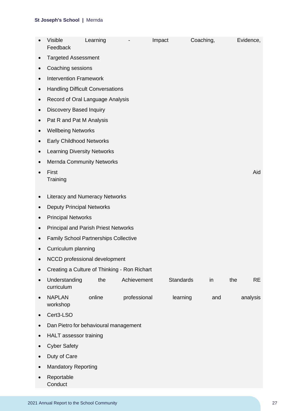|           | <b>Visible</b><br>Feedback                   | Learning |              | Impact           | Coaching, |     | Evidence, |
|-----------|----------------------------------------------|----------|--------------|------------------|-----------|-----|-----------|
|           | <b>Targeted Assessment</b>                   |          |              |                  |           |     |           |
| $\bullet$ | Coaching sessions                            |          |              |                  |           |     |           |
| $\bullet$ | <b>Intervention Framework</b>                |          |              |                  |           |     |           |
| $\bullet$ | <b>Handling Difficult Conversations</b>      |          |              |                  |           |     |           |
| $\bullet$ | Record of Oral Language Analysis             |          |              |                  |           |     |           |
| $\bullet$ | <b>Discovery Based Inquiry</b>               |          |              |                  |           |     |           |
| $\bullet$ | Pat R and Pat M Analysis                     |          |              |                  |           |     |           |
| $\bullet$ | <b>Wellbeing Networks</b>                    |          |              |                  |           |     |           |
|           | <b>Early Childhood Networks</b>              |          |              |                  |           |     |           |
| $\bullet$ | <b>Learning Diversity Networks</b>           |          |              |                  |           |     |           |
| $\bullet$ | <b>Mernda Community Networks</b>             |          |              |                  |           |     |           |
|           | First<br>Training                            |          |              |                  |           |     | Aid       |
|           | <b>Literacy and Numeracy Networks</b>        |          |              |                  |           |     |           |
| $\bullet$ | <b>Deputy Principal Networks</b>             |          |              |                  |           |     |           |
| $\bullet$ | <b>Principal Networks</b>                    |          |              |                  |           |     |           |
| $\bullet$ | <b>Principal and Parish Priest Networks</b>  |          |              |                  |           |     |           |
|           | <b>Family School Partnerships Collective</b> |          |              |                  |           |     |           |
|           | Curriculum planning                          |          |              |                  |           |     |           |
|           | NCCD professional development                |          |              |                  |           |     |           |
|           | Creating a Culture of Thinking - Ron Richart |          |              |                  |           |     |           |
|           | Understanding<br>curriculum                  | the      | Achievement  | <b>Standards</b> | in        | the | <b>RE</b> |
| $\bullet$ | <b>NAPLAN</b><br>workshop                    | online   | professional | learning         | and       |     | analysis  |
|           | Cert3-LSO                                    |          |              |                  |           |     |           |
|           | Dan Pietro for behavioural management        |          |              |                  |           |     |           |
|           | HALT assessor training                       |          |              |                  |           |     |           |
|           | <b>Cyber Safety</b>                          |          |              |                  |           |     |           |
| $\bullet$ | Duty of Care                                 |          |              |                  |           |     |           |
| $\bullet$ | <b>Mandatory Reporting</b>                   |          |              |                  |           |     |           |
|           | Reportable<br>Conduct                        |          |              |                  |           |     |           |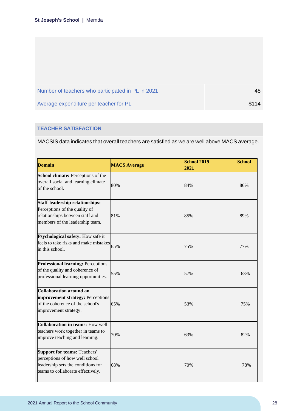| Number of teachers who participated in PL in 2021 | 48    |
|---------------------------------------------------|-------|
| Average expenditure per teacher for PL            | \$114 |

## **TEACHER SATISFACTION**

MACSIS data indicates that overall teachers are satisfied as we are well above MACS average.

| <b>Domain</b>                                                                                                                                    | <b>MACS Average</b> | <b>School 2019</b><br><b>School</b><br>2021 |  |
|--------------------------------------------------------------------------------------------------------------------------------------------------|---------------------|---------------------------------------------|--|
| School climate: Perceptions of the<br>overall social and learning climate<br>of the school.                                                      | 80%                 | 84%<br>86%                                  |  |
| <b>Staff-leadership relationships:</b><br>Perceptions of the quality of<br>relationships between staff and<br>members of the leadership team.    | 81%                 | 85%<br>89%                                  |  |
| <b>Psychological safety:</b> How safe it<br>feels to take risks and make mistakes $65\%$<br>in this school.                                      |                     | 75%<br>77%                                  |  |
| <b>Professional learning: Perceptions</b><br>of the quality and coherence of<br>professional learning opportunities.                             | 55%                 | 57%<br>63%                                  |  |
| <b>Collaboration around an</b><br>improvement strategy: Perceptions<br>of the coherence of the school's<br>improvement strategy.                 | 65%                 | 53%<br>75%                                  |  |
| <b>Collaboration in teams: How well</b><br>teachers work together in teams to<br>improve teaching and learning.                                  | 70%                 | 63%<br>82%                                  |  |
| <b>Support for teams: Teachers'</b><br>perceptions of how well school<br>leadership sets the conditions for<br>teams to collaborate effectively. | 68%                 | 70%<br>78%                                  |  |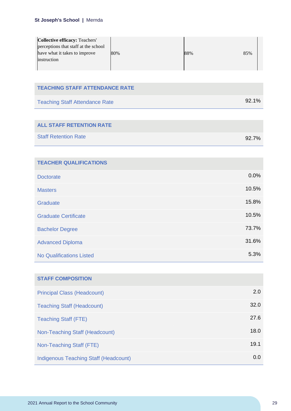| Collective efficacy: Teachers'       |     |     |     |
|--------------------------------------|-----|-----|-----|
| perceptions that staff at the school |     |     |     |
| have what it takes to improve        | 80% | 88% | 85% |
| instruction                          |     |     |     |
|                                      |     |     |     |

### **TEACHING STAFF ATTENDANCE RATE**

| <b>Teaching Staff Attendance Rate</b> | 92.1% |
|---------------------------------------|-------|
|---------------------------------------|-------|

## **ALL STAFF RETENTION RATE**

| <b>Staff Retention Rate</b> | 92.7% |
|-----------------------------|-------|
|                             |       |

| <b>TEACHER QUALIFICATIONS</b>   |       |
|---------------------------------|-------|
| <b>Doctorate</b>                | 0.0%  |
| <b>Masters</b>                  | 10.5% |
| Graduate                        | 15.8% |
| <b>Graduate Certificate</b>     | 10.5% |
| <b>Bachelor Degree</b>          | 73.7% |
| <b>Advanced Diploma</b>         | 31.6% |
| <b>No Qualifications Listed</b> | 5.3%  |

| <b>STAFF COMPOSITION</b>              |      |
|---------------------------------------|------|
| <b>Principal Class (Headcount)</b>    | 2.0  |
| <b>Teaching Staff (Headcount)</b>     | 32.0 |
| <b>Teaching Staff (FTE)</b>           | 27.6 |
| Non-Teaching Staff (Headcount)        | 18.0 |
| Non-Teaching Staff (FTE)              | 19.1 |
| Indigenous Teaching Staff (Headcount) | 0.0  |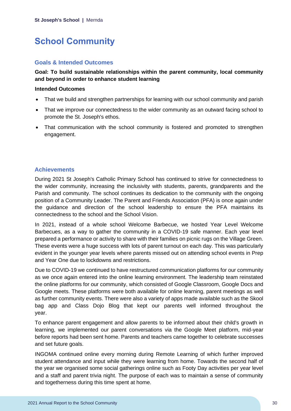## <span id="page-30-0"></span>**School Community**

## **Goals & Intended Outcomes**

## **Goal: To build sustainable relationships within the parent community, local community and beyond in order to enhance student learning**

#### **Intended Outcomes**

- That we build and strengthen partnerships for learning with our school community and parish
- That we improve our connectedness to the wider community as an outward facing school to promote the St. Joseph's ethos.
- That communication with the school community is fostered and promoted to strengthen engagement.

## **Achievements**

During 2021 St Joseph's Catholic Primary School has continued to strive for connectedness to the wider community, increasing the inclusivity with students, parents, grandparents and the Parish and community. The school continues its dedication to the community with the ongoing position of a Community Leader. The Parent and Friends Association (PFA) is once again under the guidance and direction of the school leadership to ensure the PFA maintains its connectedness to the school and the School Vision.

In 2021, instead of a whole school Welcome Barbecue, we hosted Year Level Welcome Barbecues, as a way to gather the community in a COVID-19 safe manner. Each year level prepared a performance or activity to share with their families on picnic rugs on the Village Green. These events were a huge success with lots of parent turnout on each day. This was particularly evident in the younger year levels where parents missed out on attending school events in Prep and Year One due to lockdowns and restrictions.

Due to COVID-19 we continued to have restructured communication platforms for our community as we once again entered into the online learning environment. The leadership team reinstated the online platforms for our community, which consisted of Google Classroom, Google Docs and Google meets. These platforms were both available for online learning, parent meetings as well as further community events. There were also a variety of apps made available such as the Skool bag app and Class Dojo Blog that kept our parents well informed throughout the year.

To enhance parent engagement and allow parents to be informed about their child's growth in learning, we implemented our parent conversations via the Google Meet platform, mid-year before reports had been sent home. Parents and teachers came together to celebrate successes and set future goals.

INGOMA continued online every morning during Remote Learning of which further improved student attendance and input while they were learning from home. Towards the second half of the year we organised some social gatherings online such as Footy Day activities per year level and a staff and parent trivia night. The purpose of each was to maintain a sense of community and togetherness during this time spent at home.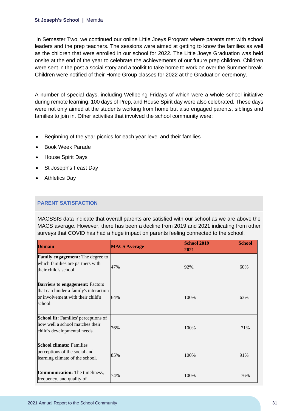In Semester Two, we continued our online Little Joeys Program where parents met with school leaders and the prep teachers. The sessions were aimed at getting to know the families as well as the children that were enrolled in our school for 2022. The Little Joeys Graduation was held onsite at the end of the year to celebrate the achievements of our future prep children. Children were sent in the post a social story and a toolkit to take home to work on over the Summer break. Children were notified of their Home Group classes for 2022 at the Graduation ceremony.

A number of special days, including Wellbeing Fridays of which were a whole school initiative during remote learning, 100 days of Prep, and House Spirit day were also celebrated. These days were not only aimed at the students working from home but also engaged parents, siblings and families to join in. Other activities that involved the school community were:

- Beginning of the year picnics for each year level and their families
- Book Week Parade
- House Spirit Days
- St Joseph's Feast Day
- Athletics Day

## **PARENT SATISFACTION**

MACSSIS data indicate that overall parents are satisfied with our school as we are above the MACS average. However, there has been a decline from 2019 and 2021 indicating from other surveys that COVID has had a huge impact on parents feeling connected to the school.

| <b>Domain</b>                                                                                                                    | <b>MACS Average</b> | <b>School 2019</b><br>2021 | <b>School</b> |
|----------------------------------------------------------------------------------------------------------------------------------|---------------------|----------------------------|---------------|
| <b>Family engagement:</b> The degree to<br>which families are partners with<br>their child's school.                             | 47%                 | 92%.                       | 60%           |
| <b>Barriers to engagement: Factors</b><br>that can hinder a family's interaction<br>or involvement with their child's<br>school. | 64%                 | 100%                       | 63%           |
| School fit: Families' perceptions of<br>how well a school matches their<br>child's developmental needs.                          | 76%                 | 100%                       | 71%           |
| <b>School climate: Families'</b><br>perceptions of the social and<br>learning climate of the school.                             | 85%                 | 100%                       | 91%           |
| <b>Communication:</b> The timeliness,<br>frequency, and quality of                                                               | 74%                 | 100%                       | 76%           |